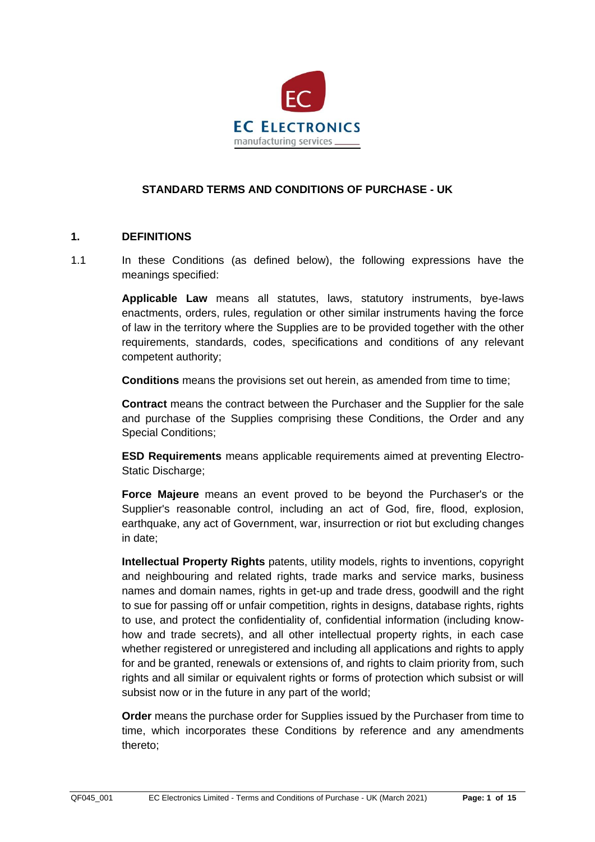

# **STANDARD TERMS AND CONDITIONS OF PURCHASE - UK**

#### **1. DEFINITIONS**

1.1 In these Conditions (as defined below), the following expressions have the meanings specified:

> **Applicable Law** means all statutes, laws, statutory instruments, bye-laws enactments, orders, rules, regulation or other similar instruments having the force of law in the territory where the Supplies are to be provided together with the other requirements, standards, codes, specifications and conditions of any relevant competent authority;

**Conditions** means the provisions set out herein, as amended from time to time;

**Contract** means the contract between the Purchaser and the Supplier for the sale and purchase of the Supplies comprising these Conditions, the Order and any Special Conditions;

**ESD Requirements** means applicable requirements aimed at preventing Electro-Static Discharge;

**Force Majeure** means an event proved to be beyond the Purchaser's or the Supplier's reasonable control, including an act of God, fire, flood, explosion, earthquake, any act of Government, war, insurrection or riot but excluding changes in date;

**Intellectual Property Rights** patents, utility models, rights to inventions, copyright and neighbouring and related rights, trade marks and service marks, business names and domain names, rights in get-up and trade dress, goodwill and the right to sue for passing off or unfair competition, rights in designs, database rights, rights to use, and protect the confidentiality of, confidential information (including knowhow and trade secrets), and all other intellectual property rights, in each case whether registered or unregistered and including all applications and rights to apply for and be granted, renewals or extensions of, and rights to claim priority from, such rights and all similar or equivalent rights or forms of protection which subsist or will subsist now or in the future in any part of the world;

**Order** means the purchase order for Supplies issued by the Purchaser from time to time, which incorporates these Conditions by reference and any amendments thereto;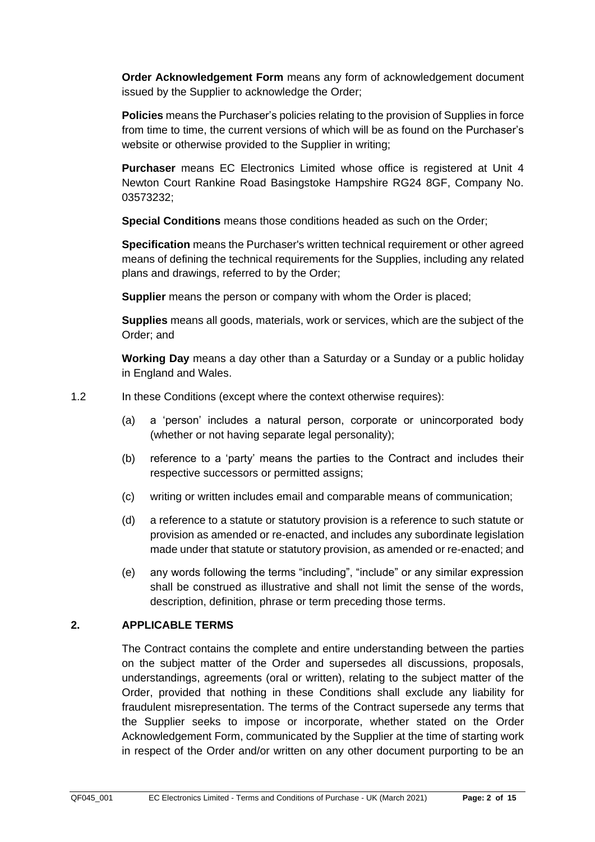**Order Acknowledgement Form** means any form of acknowledgement document issued by the Supplier to acknowledge the Order;

**Policies** means the Purchaser's policies relating to the provision of Supplies in force from time to time, the current versions of which will be as found on the Purchaser's website or otherwise provided to the Supplier in writing;

**Purchaser** means EC Electronics Limited whose office is registered at Unit 4 Newton Court Rankine Road Basingstoke Hampshire RG24 8GF, Company No. 03573232;

**Special Conditions** means those conditions headed as such on the Order;

**Specification** means the Purchaser's written technical requirement or other agreed means of defining the technical requirements for the Supplies, including any related plans and drawings, referred to by the Order;

**Supplier** means the person or company with whom the Order is placed;

**Supplies** means all goods, materials, work or services, which are the subject of the Order; and

**Working Day** means a day other than a Saturday or a Sunday or a public holiday in England and Wales.

- 1.2 In these Conditions (except where the context otherwise requires):
	- (a) a 'person' includes a natural person, corporate or unincorporated body (whether or not having separate legal personality);
	- (b) reference to a 'party' means the parties to the Contract and includes their respective successors or permitted assigns;
	- (c) writing or written includes email and comparable means of communication;
	- (d) a reference to a statute or statutory provision is a reference to such statute or provision as amended or re-enacted, and includes any subordinate legislation made under that statute or statutory provision, as amended or re-enacted; and
	- (e) any words following the terms "including", "include" or any similar expression shall be construed as illustrative and shall not limit the sense of the words, description, definition, phrase or term preceding those terms.

# **2. APPLICABLE TERMS**

The Contract contains the complete and entire understanding between the parties on the subject matter of the Order and supersedes all discussions, proposals, understandings, agreements (oral or written), relating to the subject matter of the Order, provided that nothing in these Conditions shall exclude any liability for fraudulent misrepresentation. The terms of the Contract supersede any terms that the Supplier seeks to impose or incorporate, whether stated on the Order Acknowledgement Form, communicated by the Supplier at the time of starting work in respect of the Order and/or written on any other document purporting to be an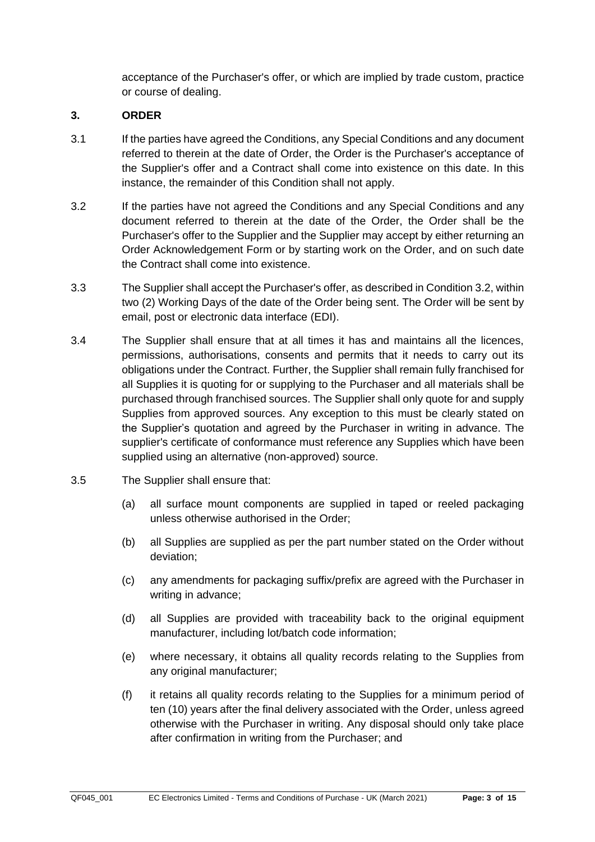acceptance of the Purchaser's offer, or which are implied by trade custom, practice or course of dealing.

### **3. ORDER**

- 3.1 If the parties have agreed the Conditions, any Special Conditions and any document referred to therein at the date of Order, the Order is the Purchaser's acceptance of the Supplier's offer and a Contract shall come into existence on this date. In this instance, the remainder of this Condition shall not apply.
- <span id="page-2-0"></span>3.2 If the parties have not agreed the Conditions and any Special Conditions and any document referred to therein at the date of the Order, the Order shall be the Purchaser's offer to the Supplier and the Supplier may accept by either returning an Order Acknowledgement Form or by starting work on the Order, and on such date the Contract shall come into existence.
- 3.3 The Supplier shall accept the Purchaser's offer, as described in Conditio[n 3.2,](#page-2-0) within two (2) Working Days of the date of the Order being sent. The Order will be sent by email, post or electronic data interface (EDI).
- 3.4 The Supplier shall ensure that at all times it has and maintains all the licences, permissions, authorisations, consents and permits that it needs to carry out its obligations under the Contract. Further, the Supplier shall remain fully franchised for all Supplies it is quoting for or supplying to the Purchaser and all materials shall be purchased through franchised sources. The Supplier shall only quote for and supply Supplies from approved sources. Any exception to this must be clearly stated on the Supplier's quotation and agreed by the Purchaser in writing in advance. The supplier's certificate of conformance must reference any Supplies which have been supplied using an alternative (non-approved) source.
- 3.5 The Supplier shall ensure that:
	- (a) all surface mount components are supplied in taped or reeled packaging unless otherwise authorised in the Order;
	- (b) all Supplies are supplied as per the part number stated on the Order without deviation;
	- (c) any amendments for packaging suffix/prefix are agreed with the Purchaser in writing in advance;
	- (d) all Supplies are provided with traceability back to the original equipment manufacturer, including lot/batch code information;
	- (e) where necessary, it obtains all quality records relating to the Supplies from any original manufacturer;
	- (f) it retains all quality records relating to the Supplies for a minimum period of ten (10) years after the final delivery associated with the Order, unless agreed otherwise with the Purchaser in writing. Any disposal should only take place after confirmation in writing from the Purchaser; and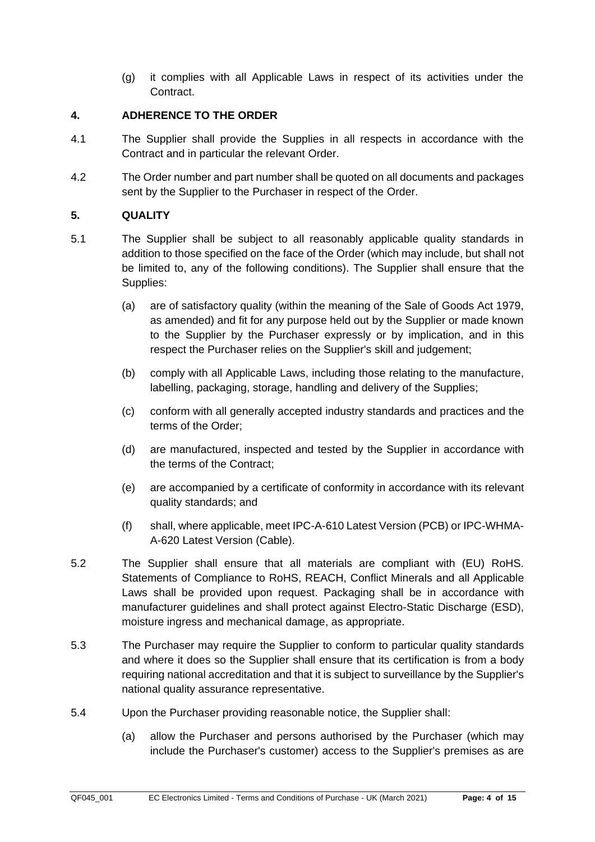(g) it complies with all Applicable Laws in respect of its activities under the Contract.

# **4. ADHERENCE TO THE ORDER**

- 4.1 The Supplier shall provide the Supplies in all respects in accordance with the Contract and in particular the relevant Order.
- 4.2 The Order number and part number shall be quoted on all documents and packages sent by the Supplier to the Purchaser in respect of the Order.

# <span id="page-3-0"></span>**5. QUALITY**

- 5.1 The Supplier shall be subject to all reasonably applicable quality standards in addition to those specified on the face of the Order (which may include, but shall not be limited to, any of the following conditions). The Supplier shall ensure that the Supplies:
	- (a) are of satisfactory quality (within the meaning of the Sale of Goods Act 1979, as amended) and fit for any purpose held out by the Supplier or made known to the Supplier by the Purchaser expressly or by implication, and in this respect the Purchaser relies on the Supplier's skill and judgement;
	- (b) comply with all Applicable Laws, including those relating to the manufacture, labelling, packaging, storage, handling and delivery of the Supplies;
	- (c) conform with all generally accepted industry standards and practices and the terms of the Order;
	- (d) are manufactured, inspected and tested by the Supplier in accordance with the terms of the Contract;
	- (e) are accompanied by a certificate of conformity in accordance with its relevant quality standards; and
	- (f) shall, where applicable, meet IPC-A-610 Latest Version (PCB) or IPC-WHMA-A-620 Latest Version (Cable).
- 5.2 The Supplier shall ensure that all materials are compliant with (EU) RoHS. Statements of Compliance to RoHS, REACH, Conflict Minerals and all Applicable Laws shall be provided upon request. Packaging shall be in accordance with manufacturer guidelines and shall protect against Electro-Static Discharge (ESD), moisture ingress and mechanical damage, as appropriate.
- 5.3 The Purchaser may require the Supplier to conform to particular quality standards and where it does so the Supplier shall ensure that its certification is from a body requiring national accreditation and that it is subject to surveillance by the Supplier's national quality assurance representative.
- 5.4 Upon the Purchaser providing reasonable notice, the Supplier shall:
	- (a) allow the Purchaser and persons authorised by the Purchaser (which may include the Purchaser's customer) access to the Supplier's premises as are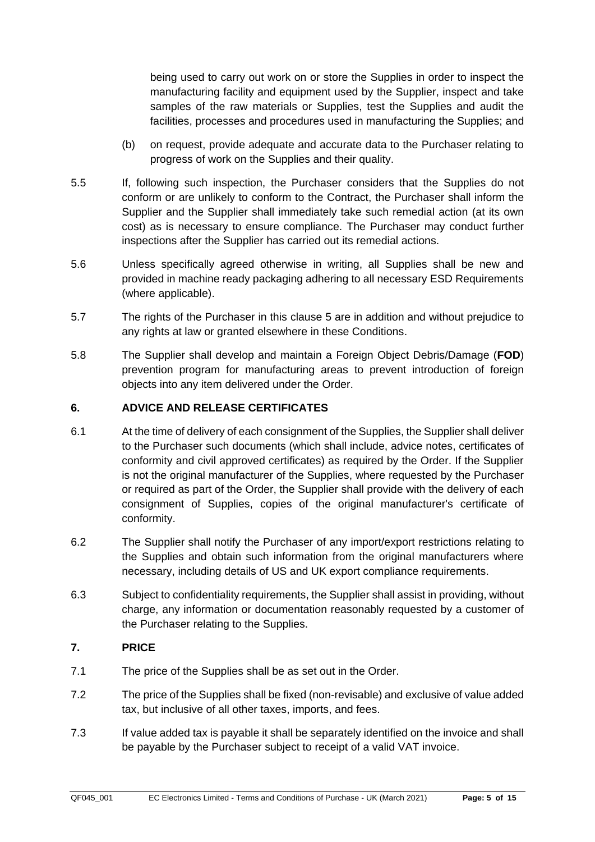being used to carry out work on or store the Supplies in order to inspect the manufacturing facility and equipment used by the Supplier, inspect and take samples of the raw materials or Supplies, test the Supplies and audit the facilities, processes and procedures used in manufacturing the Supplies; and

- (b) on request, provide adequate and accurate data to the Purchaser relating to progress of work on the Supplies and their quality.
- 5.5 If, following such inspection, the Purchaser considers that the Supplies do not conform or are unlikely to conform to the Contract, the Purchaser shall inform the Supplier and the Supplier shall immediately take such remedial action (at its own cost) as is necessary to ensure compliance. The Purchaser may conduct further inspections after the Supplier has carried out its remedial actions.
- 5.6 Unless specifically agreed otherwise in writing, all Supplies shall be new and provided in machine ready packaging adhering to all necessary ESD Requirements (where applicable).
- 5.7 The rights of the Purchaser in this clause [5](#page-3-0) are in addition and without prejudice to any rights at law or granted elsewhere in these Conditions.
- 5.8 The Supplier shall develop and maintain a Foreign Object Debris/Damage (**FOD**) prevention program for manufacturing areas to prevent introduction of foreign objects into any item delivered under the Order.

### **6. ADVICE AND RELEASE CERTIFICATES**

- 6.1 At the time of delivery of each consignment of the Supplies, the Supplier shall deliver to the Purchaser such documents (which shall include, advice notes, certificates of conformity and civil approved certificates) as required by the Order. If the Supplier is not the original manufacturer of the Supplies, where requested by the Purchaser or required as part of the Order, the Supplier shall provide with the delivery of each consignment of Supplies, copies of the original manufacturer's certificate of conformity.
- 6.2 The Supplier shall notify the Purchaser of any import/export restrictions relating to the Supplies and obtain such information from the original manufacturers where necessary, including details of US and UK export compliance requirements.
- 6.3 Subject to confidentiality requirements, the Supplier shall assist in providing, without charge, any information or documentation reasonably requested by a customer of the Purchaser relating to the Supplies.

#### **7. PRICE**

- 7.1 The price of the Supplies shall be as set out in the Order.
- 7.2 The price of the Supplies shall be fixed (non-revisable) and exclusive of value added tax, but inclusive of all other taxes, imports, and fees.
- 7.3 If value added tax is payable it shall be separately identified on the invoice and shall be payable by the Purchaser subject to receipt of a valid VAT invoice.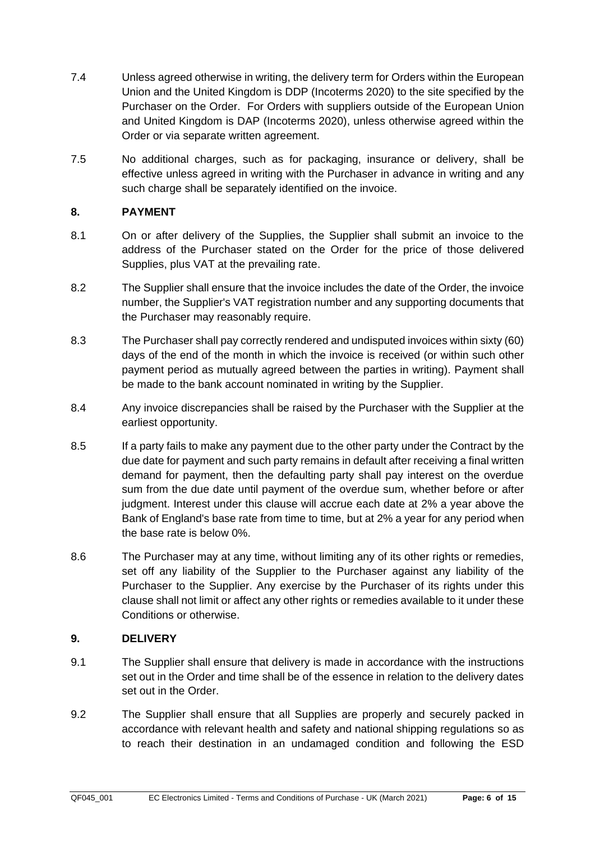- <span id="page-5-0"></span>7.4 Unless agreed otherwise in writing, the delivery term for Orders within the European Union and the United Kingdom is DDP (Incoterms 2020) to the site specified by the Purchaser on the Order. For Orders with suppliers outside of the European Union and United Kingdom is DAP (Incoterms 2020), unless otherwise agreed within the Order or via separate written agreement.
- 7.5 No additional charges, such as for packaging, insurance or delivery, shall be effective unless agreed in writing with the Purchaser in advance in writing and any such charge shall be separately identified on the invoice.

# **8. PAYMENT**

- 8.1 On or after delivery of the Supplies, the Supplier shall submit an invoice to the address of the Purchaser stated on the Order for the price of those delivered Supplies, plus VAT at the prevailing rate.
- 8.2 The Supplier shall ensure that the invoice includes the date of the Order, the invoice number, the Supplier's VAT registration number and any supporting documents that the Purchaser may reasonably require.
- 8.3 The Purchaser shall pay correctly rendered and undisputed invoices within sixty (60) days of the end of the month in which the invoice is received (or within such other payment period as mutually agreed between the parties in writing). Payment shall be made to the bank account nominated in writing by the Supplier.
- 8.4 Any invoice discrepancies shall be raised by the Purchaser with the Supplier at the earliest opportunity.
- 8.5 If a party fails to make any payment due to the other party under the Contract by the due date for payment and such party remains in default after receiving a final written demand for payment, then the defaulting party shall pay interest on the overdue sum from the due date until payment of the overdue sum, whether before or after judgment. Interest under this clause will accrue each date at 2% a year above the Bank of England's base rate from time to time, but at 2% a year for any period when the base rate is below 0%.
- 8.6 The Purchaser may at any time, without limiting any of its other rights or remedies, set off any liability of the Supplier to the Purchaser against any liability of the Purchaser to the Supplier. Any exercise by the Purchaser of its rights under this clause shall not limit or affect any other rights or remedies available to it under these Conditions or otherwise.

#### <span id="page-5-1"></span>**9. DELIVERY**

- 9.1 The Supplier shall ensure that delivery is made in accordance with the instructions set out in the Order and time shall be of the essence in relation to the delivery dates set out in the Order.
- 9.2 The Supplier shall ensure that all Supplies are properly and securely packed in accordance with relevant health and safety and national shipping regulations so as to reach their destination in an undamaged condition and following the ESD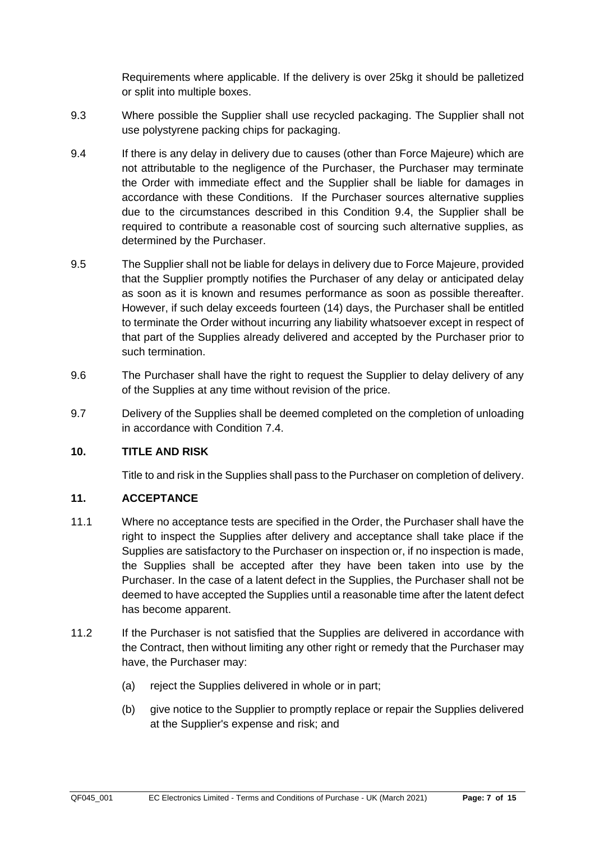Requirements where applicable. If the delivery is over 25kg it should be palletized or split into multiple boxes.

- 9.3 Where possible the Supplier shall use recycled packaging. The Supplier shall not use polystyrene packing chips for packaging.
- <span id="page-6-0"></span>9.4 If there is any delay in delivery due to causes (other than Force Majeure) which are not attributable to the negligence of the Purchaser, the Purchaser may terminate the Order with immediate effect and the Supplier shall be liable for damages in accordance with these Conditions. If the Purchaser sources alternative supplies due to the circumstances described in this Condition [9.4,](#page-6-0) the Supplier shall be required to contribute a reasonable cost of sourcing such alternative supplies, as determined by the Purchaser.
- 9.5 The Supplier shall not be liable for delays in delivery due to Force Majeure, provided that the Supplier promptly notifies the Purchaser of any delay or anticipated delay as soon as it is known and resumes performance as soon as possible thereafter. However, if such delay exceeds fourteen (14) days, the Purchaser shall be entitled to terminate the Order without incurring any liability whatsoever except in respect of that part of the Supplies already delivered and accepted by the Purchaser prior to such termination.
- 9.6 The Purchaser shall have the right to request the Supplier to delay delivery of any of the Supplies at any time without revision of the price.
- 9.7 Delivery of the Supplies shall be deemed completed on the completion of unloading in accordance with Condition [7.4.](#page-5-0)

#### **10. TITLE AND RISK**

Title to and risk in the Supplies shall pass to the Purchaser on completion of delivery.

### **11. ACCEPTANCE**

- 11.1 Where no acceptance tests are specified in the Order, the Purchaser shall have the right to inspect the Supplies after delivery and acceptance shall take place if the Supplies are satisfactory to the Purchaser on inspection or, if no inspection is made, the Supplies shall be accepted after they have been taken into use by the Purchaser. In the case of a latent defect in the Supplies, the Purchaser shall not be deemed to have accepted the Supplies until a reasonable time after the latent defect has become apparent.
- <span id="page-6-1"></span>11.2 If the Purchaser is not satisfied that the Supplies are delivered in accordance with the Contract, then without limiting any other right or remedy that the Purchaser may have, the Purchaser may:
	- (a) reject the Supplies delivered in whole or in part;
	- (b) give notice to the Supplier to promptly replace or repair the Supplies delivered at the Supplier's expense and risk; and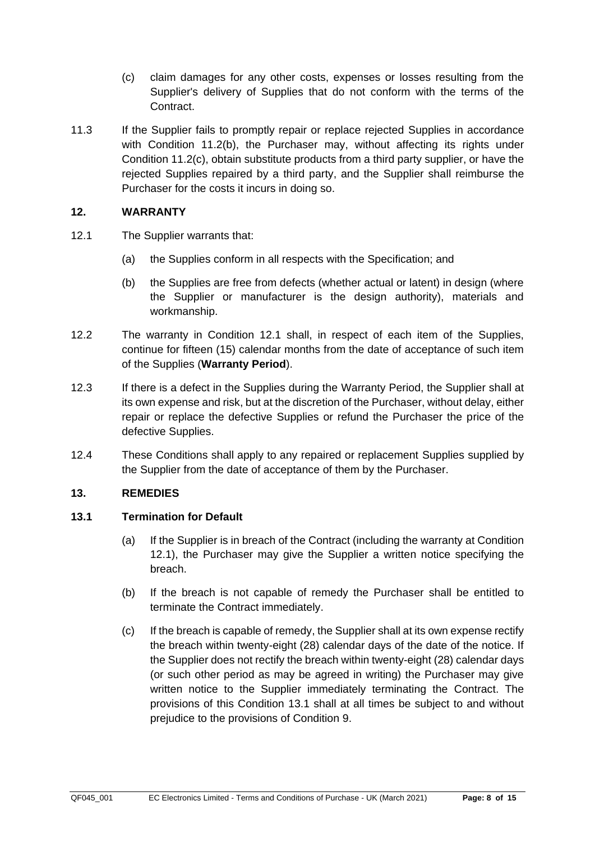- (c) claim damages for any other costs, expenses or losses resulting from the Supplier's delivery of Supplies that do not conform with the terms of the Contract.
- <span id="page-7-0"></span>11.3 If the Supplier fails to promptly repair or replace rejected Supplies in accordance with Condition [11.2\(b\),](#page-6-1) the Purchaser may, without affecting its rights under Condition [11.2\(c\),](#page-7-0) obtain substitute products from a third party supplier, or have the rejected Supplies repaired by a third party, and the Supplier shall reimburse the Purchaser for the costs it incurs in doing so.

# **12. WARRANTY**

- <span id="page-7-1"></span>12.1 The Supplier warrants that:
	- (a) the Supplies conform in all respects with the Specification; and
	- (b) the Supplies are free from defects (whether actual or latent) in design (where the Supplier or manufacturer is the design authority), materials and workmanship.
- 12.2 The warranty in Condition [12.1](#page-7-1) shall, in respect of each item of the Supplies, continue for fifteen (15) calendar months from the date of acceptance of such item of the Supplies (**Warranty Period**).
- 12.3 If there is a defect in the Supplies during the Warranty Period, the Supplier shall at its own expense and risk, but at the discretion of the Purchaser, without delay, either repair or replace the defective Supplies or refund the Purchaser the price of the defective Supplies.
- 12.4 These Conditions shall apply to any repaired or replacement Supplies supplied by the Supplier from the date of acceptance of them by the Purchaser.

# **13. REMEDIES**

# <span id="page-7-2"></span>**13.1 Termination for Default**

- (a) If the Supplier is in breach of the Contract (including the warranty at Condition [12.1\)](#page-7-1), the Purchaser may give the Supplier a written notice specifying the breach.
- (b) If the breach is not capable of remedy the Purchaser shall be entitled to terminate the Contract immediately.
- (c) If the breach is capable of remedy, the Supplier shall at its own expense rectify the breach within twenty-eight (28) calendar days of the date of the notice. If the Supplier does not rectify the breach within twenty-eight (28) calendar days (or such other period as may be agreed in writing) the Purchaser may give written notice to the Supplier immediately terminating the Contract. The provisions of this Condition [13.1](#page-7-2) shall at all times be subject to and without prejudice to the provisions of Condition [9.](#page-5-1)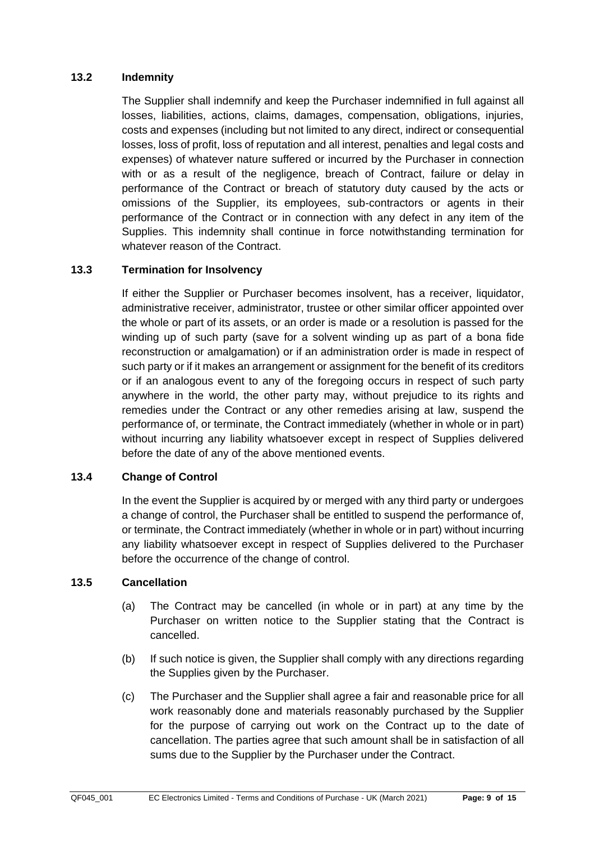### **13.2 Indemnity**

The Supplier shall indemnify and keep the Purchaser indemnified in full against all losses, liabilities, actions, claims, damages, compensation, obligations, injuries, costs and expenses (including but not limited to any direct, indirect or consequential losses, loss of profit, loss of reputation and all interest, penalties and legal costs and expenses) of whatever nature suffered or incurred by the Purchaser in connection with or as a result of the negligence, breach of Contract, failure or delay in performance of the Contract or breach of statutory duty caused by the acts or omissions of the Supplier, its employees, sub-contractors or agents in their performance of the Contract or in connection with any defect in any item of the Supplies. This indemnity shall continue in force notwithstanding termination for whatever reason of the Contract.

### **13.3 Termination for Insolvency**

If either the Supplier or Purchaser becomes insolvent, has a receiver, liquidator, administrative receiver, administrator, trustee or other similar officer appointed over the whole or part of its assets, or an order is made or a resolution is passed for the winding up of such party (save for a solvent winding up as part of a bona fide reconstruction or amalgamation) or if an administration order is made in respect of such party or if it makes an arrangement or assignment for the benefit of its creditors or if an analogous event to any of the foregoing occurs in respect of such party anywhere in the world, the other party may, without prejudice to its rights and remedies under the Contract or any other remedies arising at law, suspend the performance of, or terminate, the Contract immediately (whether in whole or in part) without incurring any liability whatsoever except in respect of Supplies delivered before the date of any of the above mentioned events.

#### **13.4 Change of Control**

In the event the Supplier is acquired by or merged with any third party or undergoes a change of control, the Purchaser shall be entitled to suspend the performance of, or terminate, the Contract immediately (whether in whole or in part) without incurring any liability whatsoever except in respect of Supplies delivered to the Purchaser before the occurrence of the change of control.

### **13.5 Cancellation**

- (a) The Contract may be cancelled (in whole or in part) at any time by the Purchaser on written notice to the Supplier stating that the Contract is cancelled.
- (b) If such notice is given, the Supplier shall comply with any directions regarding the Supplies given by the Purchaser.
- <span id="page-8-0"></span>(c) The Purchaser and the Supplier shall agree a fair and reasonable price for all work reasonably done and materials reasonably purchased by the Supplier for the purpose of carrying out work on the Contract up to the date of cancellation. The parties agree that such amount shall be in satisfaction of all sums due to the Supplier by the Purchaser under the Contract.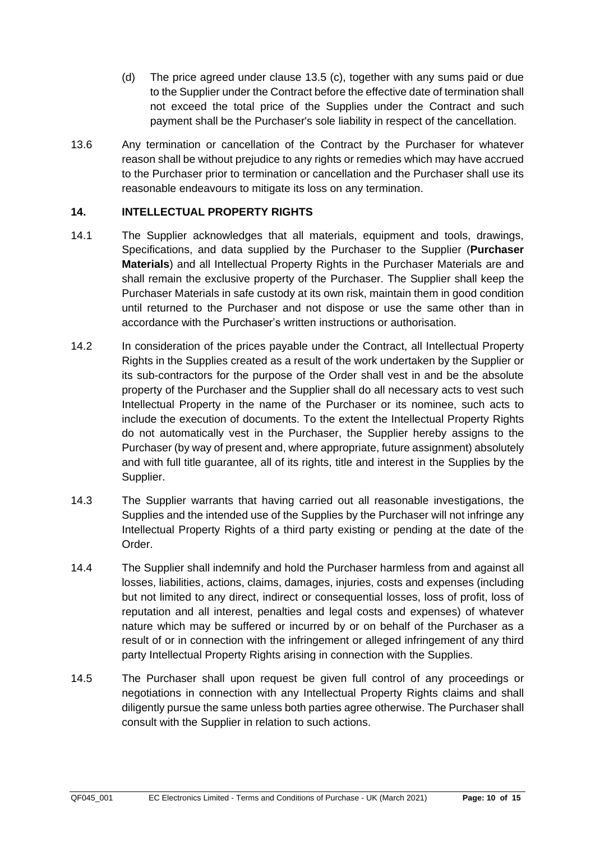- (d) The price agreed under clause 13.5 [\(c\),](#page-8-0) together with any sums paid or due to the Supplier under the Contract before the effective date of termination shall not exceed the total price of the Supplies under the Contract and such payment shall be the Purchaser's sole liability in respect of the cancellation.
- 13.6 Any termination or cancellation of the Contract by the Purchaser for whatever reason shall be without prejudice to any rights or remedies which may have accrued to the Purchaser prior to termination or cancellation and the Purchaser shall use its reasonable endeavours to mitigate its loss on any termination.

### **14. INTELLECTUAL PROPERTY RIGHTS**

- 14.1 The Supplier acknowledges that all materials, equipment and tools, drawings, Specifications, and data supplied by the Purchaser to the Supplier (**Purchaser Materials**) and all Intellectual Property Rights in the Purchaser Materials are and shall remain the exclusive property of the Purchaser. The Supplier shall keep the Purchaser Materials in safe custody at its own risk, maintain them in good condition until returned to the Purchaser and not dispose or use the same other than in accordance with the Purchaser's written instructions or authorisation.
- 14.2 In consideration of the prices payable under the Contract, all Intellectual Property Rights in the Supplies created as a result of the work undertaken by the Supplier or its sub-contractors for the purpose of the Order shall vest in and be the absolute property of the Purchaser and the Supplier shall do all necessary acts to vest such Intellectual Property in the name of the Purchaser or its nominee, such acts to include the execution of documents. To the extent the Intellectual Property Rights do not automatically vest in the Purchaser, the Supplier hereby assigns to the Purchaser (by way of present and, where appropriate, future assignment) absolutely and with full title guarantee, all of its rights, title and interest in the Supplies by the Supplier.
- 14.3 The Supplier warrants that having carried out all reasonable investigations, the Supplies and the intended use of the Supplies by the Purchaser will not infringe any Intellectual Property Rights of a third party existing or pending at the date of the Order.
- 14.4 The Supplier shall indemnify and hold the Purchaser harmless from and against all losses, liabilities, actions, claims, damages, injuries, costs and expenses (including but not limited to any direct, indirect or consequential losses, loss of profit, loss of reputation and all interest, penalties and legal costs and expenses) of whatever nature which may be suffered or incurred by or on behalf of the Purchaser as a result of or in connection with the infringement or alleged infringement of any third party Intellectual Property Rights arising in connection with the Supplies.
- 14.5 The Purchaser shall upon request be given full control of any proceedings or negotiations in connection with any Intellectual Property Rights claims and shall diligently pursue the same unless both parties agree otherwise. The Purchaser shall consult with the Supplier in relation to such actions.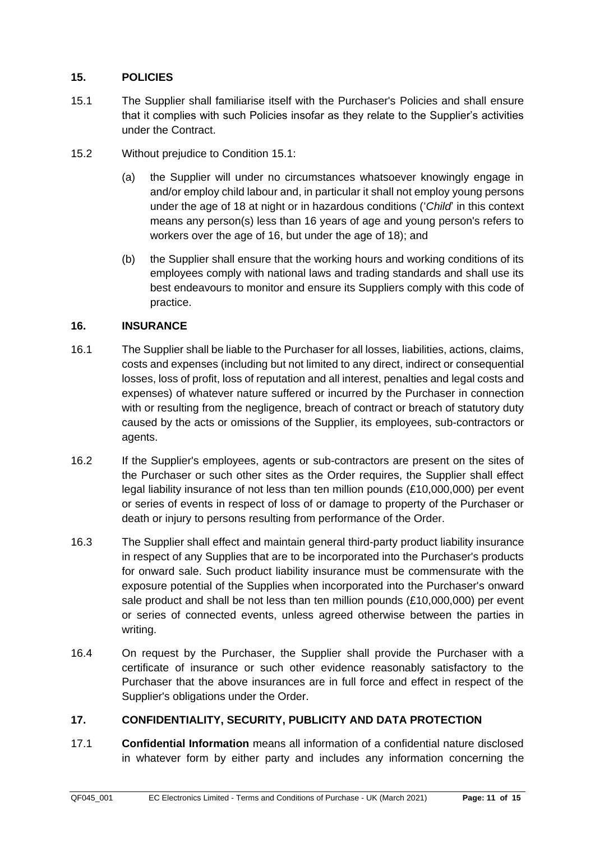# **15. POLICIES**

- <span id="page-10-0"></span>15.1 The Supplier shall familiarise itself with the Purchaser's Policies and shall ensure that it complies with such Policies insofar as they relate to the Supplier's activities under the Contract.
- 15.2 Without prejudice to Condition [15.1:](#page-10-0)
	- (a) the Supplier will under no circumstances whatsoever knowingly engage in and/or employ child labour and, in particular it shall not employ young persons under the age of 18 at night or in hazardous conditions ('*Child*' in this context means any person(s) less than 16 years of age and young person's refers to workers over the age of 16, but under the age of 18); and
	- (b) the Supplier shall ensure that the working hours and working conditions of its employees comply with national laws and trading standards and shall use its best endeavours to monitor and ensure its Suppliers comply with this code of practice.

# **16. INSURANCE**

- 16.1 The Supplier shall be liable to the Purchaser for all losses, liabilities, actions, claims, costs and expenses (including but not limited to any direct, indirect or consequential losses, loss of profit, loss of reputation and all interest, penalties and legal costs and expenses) of whatever nature suffered or incurred by the Purchaser in connection with or resulting from the negligence, breach of contract or breach of statutory duty caused by the acts or omissions of the Supplier, its employees, sub-contractors or agents.
- 16.2 If the Supplier's employees, agents or sub-contractors are present on the sites of the Purchaser or such other sites as the Order requires, the Supplier shall effect legal liability insurance of not less than ten million pounds (£10,000,000) per event or series of events in respect of loss of or damage to property of the Purchaser or death or injury to persons resulting from performance of the Order.
- 16.3 The Supplier shall effect and maintain general third-party product liability insurance in respect of any Supplies that are to be incorporated into the Purchaser's products for onward sale. Such product liability insurance must be commensurate with the exposure potential of the Supplies when incorporated into the Purchaser's onward sale product and shall be not less than ten million pounds (£10,000,000) per event or series of connected events, unless agreed otherwise between the parties in writing.
- 16.4 On request by the Purchaser, the Supplier shall provide the Purchaser with a certificate of insurance or such other evidence reasonably satisfactory to the Purchaser that the above insurances are in full force and effect in respect of the Supplier's obligations under the Order.

# **17. CONFIDENTIALITY, SECURITY, PUBLICITY AND DATA PROTECTION**

17.1 **Confidential Information** means all information of a confidential nature disclosed in whatever form by either party and includes any information concerning the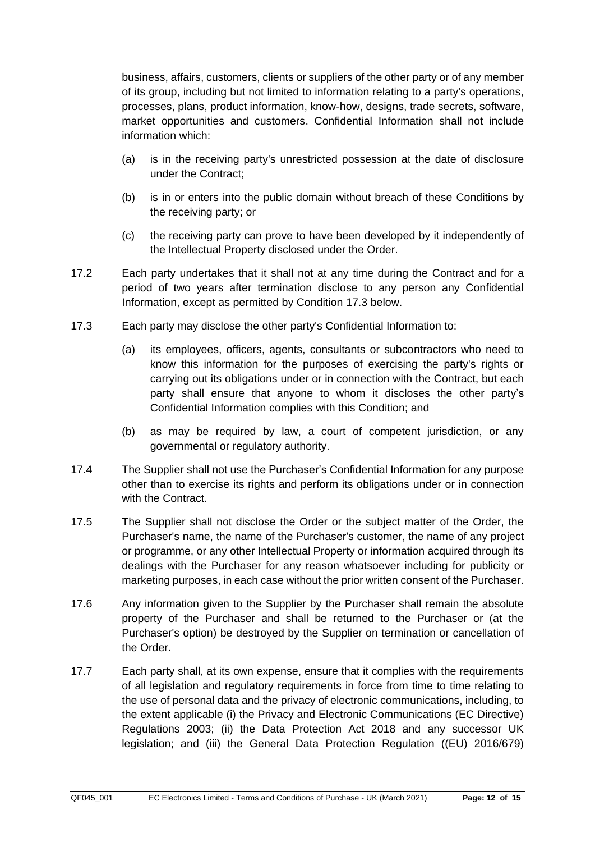business, affairs, customers, clients or suppliers of the other party or of any member of its group, including but not limited to information relating to a party's operations, processes, plans, product information, know-how, designs, trade secrets, software, market opportunities and customers. Confidential Information shall not include information which:

- (a) is in the receiving party's unrestricted possession at the date of disclosure under the Contract;
- (b) is in or enters into the public domain without breach of these Conditions by the receiving party; or
- (c) the receiving party can prove to have been developed by it independently of the Intellectual Property disclosed under the Order.
- 17.2 Each party undertakes that it shall not at any time during the Contract and for a period of two years after termination disclose to any person any Confidential Information, except as permitted by Condition [17.3](#page-11-0) below.
- <span id="page-11-0"></span>17.3 Each party may disclose the other party's Confidential Information to:
	- (a) its employees, officers, agents, consultants or subcontractors who need to know this information for the purposes of exercising the party's rights or carrying out its obligations under or in connection with the Contract, but each party shall ensure that anyone to whom it discloses the other party's Confidential Information complies with this Condition; and
	- (b) as may be required by law, a court of competent jurisdiction, or any governmental or regulatory authority.
- 17.4 The Supplier shall not use the Purchaser's Confidential Information for any purpose other than to exercise its rights and perform its obligations under or in connection with the Contract.
- 17.5 The Supplier shall not disclose the Order or the subject matter of the Order, the Purchaser's name, the name of the Purchaser's customer, the name of any project or programme, or any other Intellectual Property or information acquired through its dealings with the Purchaser for any reason whatsoever including for publicity or marketing purposes, in each case without the prior written consent of the Purchaser.
- 17.6 Any information given to the Supplier by the Purchaser shall remain the absolute property of the Purchaser and shall be returned to the Purchaser or (at the Purchaser's option) be destroyed by the Supplier on termination or cancellation of the Order.
- 17.7 Each party shall, at its own expense, ensure that it complies with the requirements of all legislation and regulatory requirements in force from time to time relating to the use of personal data and the privacy of electronic communications, including, to the extent applicable (i) the Privacy and Electronic Communications (EC Directive) Regulations 2003; (ii) the Data Protection Act 2018 and any successor UK legislation; and (iii) the General Data Protection Regulation ((EU) 2016/679)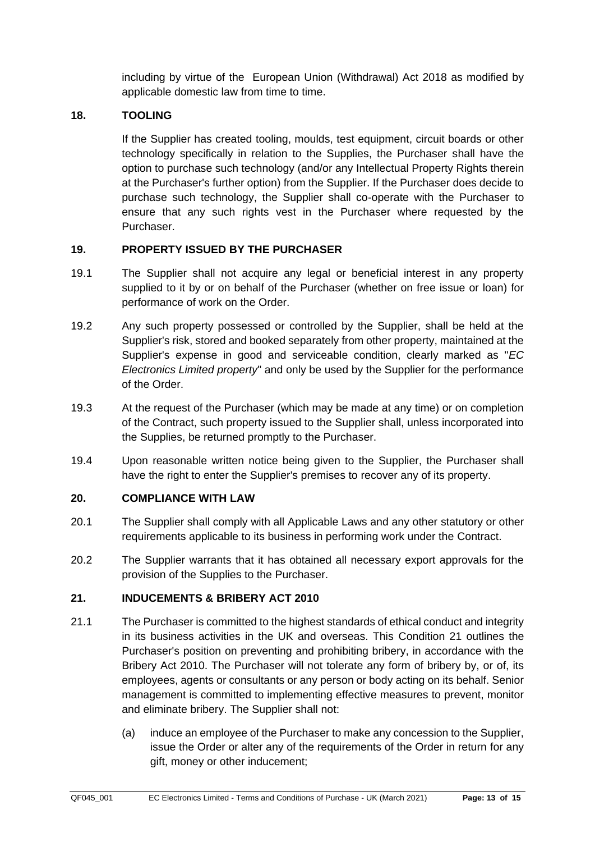including by virtue of the European Union (Withdrawal) Act 2018 as modified by applicable domestic law from time to time.

### <span id="page-12-1"></span>**18. TOOLING**

If the Supplier has created tooling, moulds, test equipment, circuit boards or other technology specifically in relation to the Supplies, the Purchaser shall have the option to purchase such technology (and/or any Intellectual Property Rights therein at the Purchaser's further option) from the Supplier. If the Purchaser does decide to purchase such technology, the Supplier shall co-operate with the Purchaser to ensure that any such rights vest in the Purchaser where requested by the Purchaser.

### **19. PROPERTY ISSUED BY THE PURCHASER**

- 19.1 The Supplier shall not acquire any legal or beneficial interest in any property supplied to it by or on behalf of the Purchaser (whether on free issue or loan) for performance of work on the Order.
- 19.2 Any such property possessed or controlled by the Supplier, shall be held at the Supplier's risk, stored and booked separately from other property, maintained at the Supplier's expense in good and serviceable condition, clearly marked as "*EC Electronics Limited property*" and only be used by the Supplier for the performance of the Order.
- 19.3 At the request of the Purchaser (which may be made at any time) or on completion of the Contract, such property issued to the Supplier shall, unless incorporated into the Supplies, be returned promptly to the Purchaser.
- 19.4 Upon reasonable written notice being given to the Supplier, the Purchaser shall have the right to enter the Supplier's premises to recover any of its property.

#### **20. COMPLIANCE WITH LAW**

- 20.1 The Supplier shall comply with all Applicable Laws and any other statutory or other requirements applicable to its business in performing work under the Contract.
- 20.2 The Supplier warrants that it has obtained all necessary export approvals for the provision of the Supplies to the Purchaser.

#### <span id="page-12-0"></span>**21. INDUCEMENTS & BRIBERY ACT 2010**

- 21.1 The Purchaser is committed to the highest standards of ethical conduct and integrity in its business activities in the UK and overseas. This Condition [21](#page-12-0) outlines the Purchaser's position on preventing and prohibiting bribery, in accordance with the Bribery Act 2010. The Purchaser will not tolerate any form of bribery by, or of, its employees, agents or consultants or any person or body acting on its behalf. Senior management is committed to implementing effective measures to prevent, monitor and eliminate bribery. The Supplier shall not:
	- (a) induce an employee of the Purchaser to make any concession to the Supplier, issue the Order or alter any of the requirements of the Order in return for any gift, money or other inducement;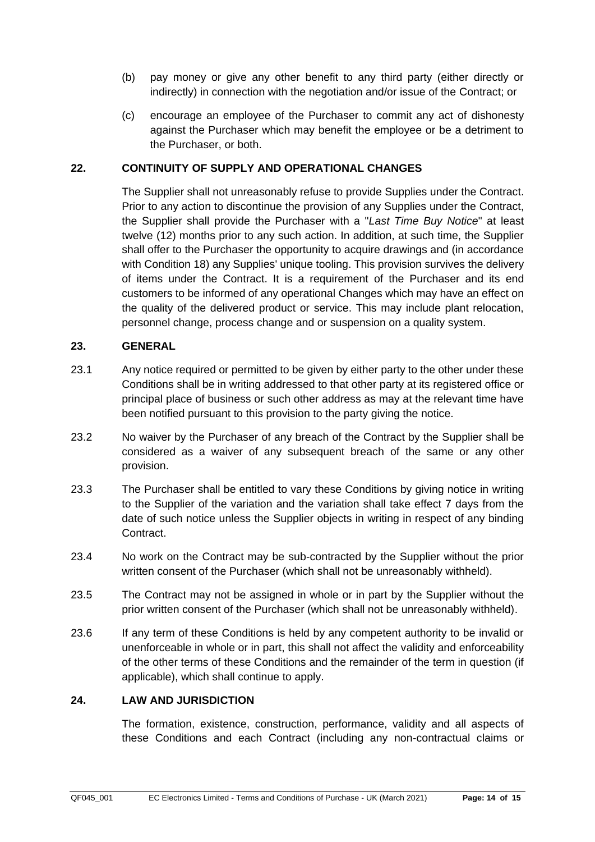- (b) pay money or give any other benefit to any third party (either directly or indirectly) in connection with the negotiation and/or issue of the Contract; or
- (c) encourage an employee of the Purchaser to commit any act of dishonesty against the Purchaser which may benefit the employee or be a detriment to the Purchaser, or both.

# **22. CONTINUITY OF SUPPLY AND OPERATIONAL CHANGES**

The Supplier shall not unreasonably refuse to provide Supplies under the Contract. Prior to any action to discontinue the provision of any Supplies under the Contract, the Supplier shall provide the Purchaser with a "*Last Time Buy Notice*" at least twelve (12) months prior to any such action. In addition, at such time, the Supplier shall offer to the Purchaser the opportunity to acquire drawings and (in accordance with Condition [18\)](#page-12-1) any Supplies' unique tooling. This provision survives the delivery of items under the Contract. It is a requirement of the Purchaser and its end customers to be informed of any operational Changes which may have an effect on the quality of the delivered product or service. This may include plant relocation, personnel change, process change and or suspension on a quality system.

### **23. GENERAL**

- 23.1 Any notice required or permitted to be given by either party to the other under these Conditions shall be in writing addressed to that other party at its registered office or principal place of business or such other address as may at the relevant time have been notified pursuant to this provision to the party giving the notice.
- 23.2 No waiver by the Purchaser of any breach of the Contract by the Supplier shall be considered as a waiver of any subsequent breach of the same or any other provision.
- 23.3 The Purchaser shall be entitled to vary these Conditions by giving notice in writing to the Supplier of the variation and the variation shall take effect 7 days from the date of such notice unless the Supplier objects in writing in respect of any binding **Contract**
- 23.4 No work on the Contract may be sub-contracted by the Supplier without the prior written consent of the Purchaser (which shall not be unreasonably withheld).
- 23.5 The Contract may not be assigned in whole or in part by the Supplier without the prior written consent of the Purchaser (which shall not be unreasonably withheld).
- 23.6 If any term of these Conditions is held by any competent authority to be invalid or unenforceable in whole or in part, this shall not affect the validity and enforceability of the other terms of these Conditions and the remainder of the term in question (if applicable), which shall continue to apply.

#### **24. LAW AND JURISDICTION**

The formation, existence, construction, performance, validity and all aspects of these Conditions and each Contract (including any non-contractual claims or